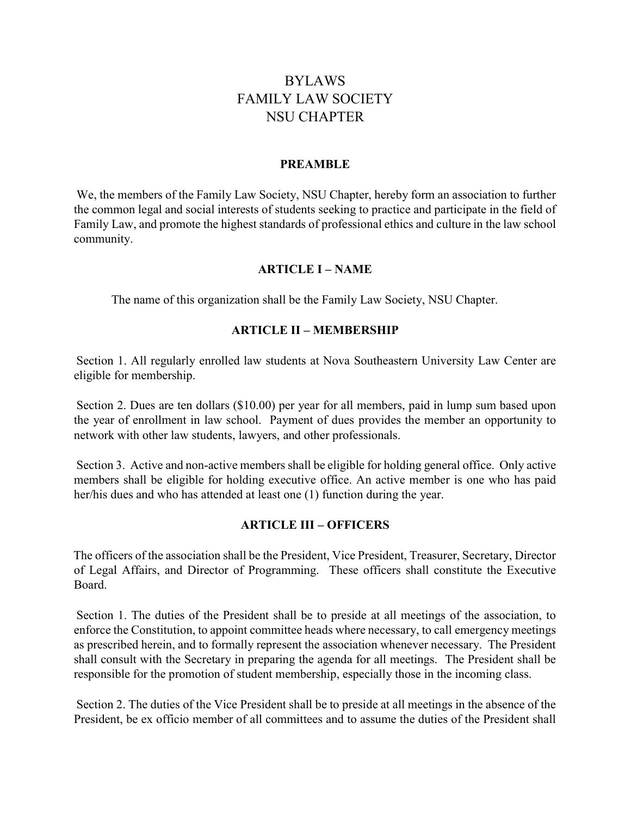# BYLAWS FAMILY LAW SOCIETY NSU CHAPTER

#### PREAMBLE

 We, the members of the Family Law Society, NSU Chapter, hereby form an association to further the common legal and social interests of students seeking to practice and participate in the field of Family Law, and promote the highest standards of professional ethics and culture in the law school community.

### ARTICLE I – NAME

The name of this organization shall be the Family Law Society, NSU Chapter.

### ARTICLE II – MEMBERSHIP

 Section 1. All regularly enrolled law students at Nova Southeastern University Law Center are eligible for membership.

 Section 2. Dues are ten dollars (\$10.00) per year for all members, paid in lump sum based upon the year of enrollment in law school. Payment of dues provides the member an opportunity to network with other law students, lawyers, and other professionals.

 Section 3. Active and non-active members shall be eligible for holding general office. Only active members shall be eligible for holding executive office. An active member is one who has paid her/his dues and who has attended at least one (1) function during the year.

### ARTICLE III – OFFICERS

The officers of the association shall be the President, Vice President, Treasurer, Secretary, Director of Legal Affairs, and Director of Programming. These officers shall constitute the Executive Board.

 Section 1. The duties of the President shall be to preside at all meetings of the association, to enforce the Constitution, to appoint committee heads where necessary, to call emergency meetings as prescribed herein, and to formally represent the association whenever necessary. The President shall consult with the Secretary in preparing the agenda for all meetings. The President shall be responsible for the promotion of student membership, especially those in the incoming class.

 Section 2. The duties of the Vice President shall be to preside at all meetings in the absence of the President, be ex officio member of all committees and to assume the duties of the President shall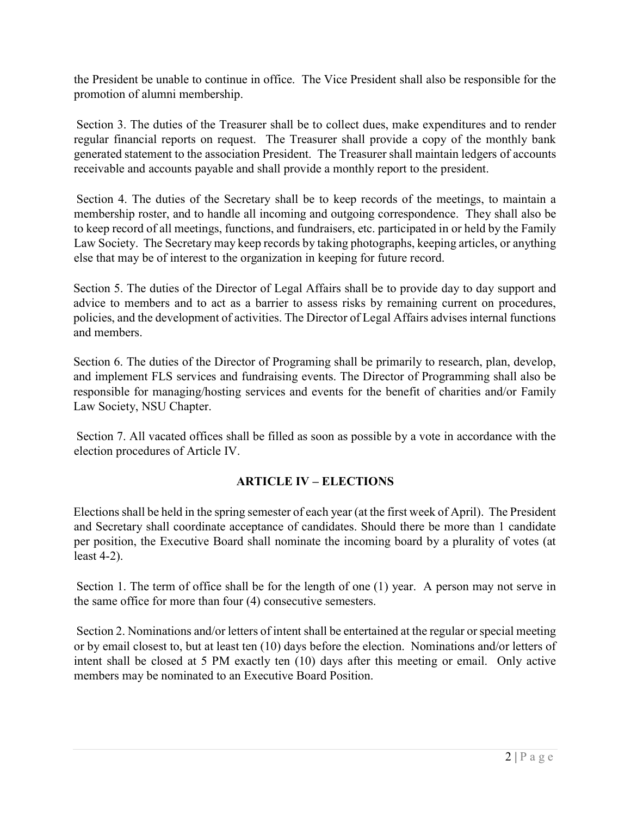the President be unable to continue in office. The Vice President shall also be responsible for the promotion of alumni membership.

 Section 3. The duties of the Treasurer shall be to collect dues, make expenditures and to render regular financial reports on request. The Treasurer shall provide a copy of the monthly bank generated statement to the association President. The Treasurer shall maintain ledgers of accounts receivable and accounts payable and shall provide a monthly report to the president.

 Section 4. The duties of the Secretary shall be to keep records of the meetings, to maintain a membership roster, and to handle all incoming and outgoing correspondence. They shall also be to keep record of all meetings, functions, and fundraisers, etc. participated in or held by the Family Law Society. The Secretary may keep records by taking photographs, keeping articles, or anything else that may be of interest to the organization in keeping for future record.

Section 5. The duties of the Director of Legal Affairs shall be to provide day to day support and advice to members and to act as a barrier to assess risks by remaining current on procedures, policies, and the development of activities. The Director of Legal Affairs advises internal functions and members.

Section 6. The duties of the Director of Programing shall be primarily to research, plan, develop, and implement FLS services and fundraising events. The Director of Programming shall also be responsible for managing/hosting services and events for the benefit of charities and/or Family Law Society, NSU Chapter.

 Section 7. All vacated offices shall be filled as soon as possible by a vote in accordance with the election procedures of Article IV.

# ARTICLE IV – ELECTIONS

Elections shall be held in the spring semester of each year (at the first week of April). The President and Secretary shall coordinate acceptance of candidates. Should there be more than 1 candidate per position, the Executive Board shall nominate the incoming board by a plurality of votes (at least 4-2).

 Section 1. The term of office shall be for the length of one (1) year. A person may not serve in the same office for more than four (4) consecutive semesters.

 Section 2. Nominations and/or letters of intent shall be entertained at the regular or special meeting or by email closest to, but at least ten (10) days before the election. Nominations and/or letters of intent shall be closed at 5 PM exactly ten (10) days after this meeting or email. Only active members may be nominated to an Executive Board Position.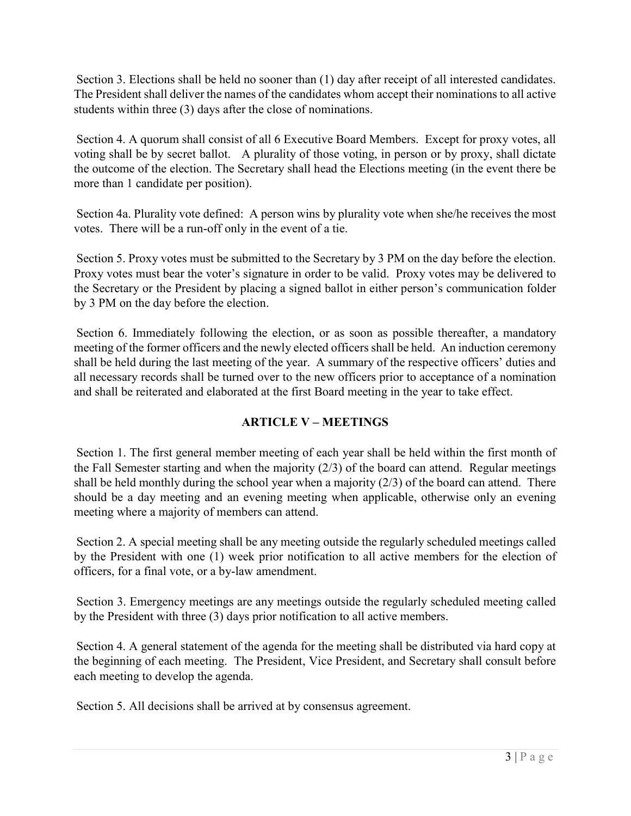Section 3. Elections shall be held no sooner than (1) day after receipt of all interested candidates. The President shall deliver the names of the candidates whom accept their nominations to all active students within three (3) days after the close of nominations.

 Section 4. A quorum shall consist of all 6 Executive Board Members. Except for proxy votes, all voting shall be by secret ballot. A plurality of those voting, in person or by proxy, shall dictate the outcome of the election. The Secretary shall head the Elections meeting (in the event there be more than 1 candidate per position).

 Section 4a. Plurality vote defined: A person wins by plurality vote when she/he receives the most votes. There will be a run-off only in the event of a tie.

 Section 5. Proxy votes must be submitted to the Secretary by 3 PM on the day before the election. Proxy votes must bear the voter's signature in order to be valid. Proxy votes may be delivered to the Secretary or the President by placing a signed ballot in either person's communication folder by 3 PM on the day before the election.

 Section 6. Immediately following the election, or as soon as possible thereafter, a mandatory meeting of the former officers and the newly elected officers shall be held. An induction ceremony shall be held during the last meeting of the year. A summary of the respective officers' duties and all necessary records shall be turned over to the new officers prior to acceptance of a nomination and shall be reiterated and elaborated at the first Board meeting in the year to take effect.

# ARTICLE V – MEETINGS

 Section 1. The first general member meeting of each year shall be held within the first month of the Fall Semester starting and when the majority (2/3) of the board can attend. Regular meetings shall be held monthly during the school year when a majority  $(2/3)$  of the board can attend. There should be a day meeting and an evening meeting when applicable, otherwise only an evening meeting where a majority of members can attend.

 Section 2. A special meeting shall be any meeting outside the regularly scheduled meetings called by the President with one (1) week prior notification to all active members for the election of officers, for a final vote, or a by-law amendment.

 Section 3. Emergency meetings are any meetings outside the regularly scheduled meeting called by the President with three (3) days prior notification to all active members.

 Section 4. A general statement of the agenda for the meeting shall be distributed via hard copy at the beginning of each meeting. The President, Vice President, and Secretary shall consult before each meeting to develop the agenda.

Section 5. All decisions shall be arrived at by consensus agreement.